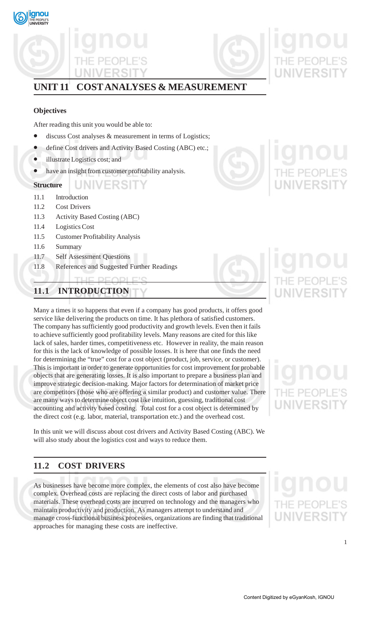

# **UNIT 11 COST ANALYSES & MEASUREMENT**

## **Objectives**

After reading this unit you would be able to:

- discuss Cost analyses & measurement in terms of Logistics;
- define Cost drivers and Activity Based Costing (ABC) etc.;
- illustrate Logistics cost; and
- have an insight from customer profitability analysis.

## UNIVERSIT **Structure**

- 11.1 Introduction
- 11.2 Cost Drivers
- 11.3 Activity Based Costing (ABC)
- 11.4 Logistics Cost
- 11.5 Customer Profitability Analysis
- 11.6 Summary
- 11.7 Self Assessment Questions
- 11.8 References and Suggested Further Readings

## **11.1 INTRODUCTION**

Many a times it so happens that even if a company has good products, it offers good service like delivering the products on time. It has plethora of satisfied customers. The company has sufficiently good productivity and growth levels. Even then it fails to achieve sufficiently good profitability levels. Many reasons are cited for this like lack of sales, harder times, competitiveness etc. However in reality, the main reason for this is the lack of knowledge of possible losses. It is here that one finds the need for determining the "true" cost for a cost object (product, job, service, or customer). This is important in order to generate opportunities for cost improvement for probable objects that are generating losses. It is also important to prepare a business plan and improve strategic decision-making. Major factors for determination of market price are competitors (those who are offering a similar product) and customer value. There are many ways to determine object cost like intuition, guessing, traditional cost accounting and activity based costing. Total cost for a cost object is determined by the direct cost (e.g. labor, material, transportation etc.) and the overhead cost.

In this unit we will discuss about cost drivers and Activity Based Costing (ABC). We will also study about the logistics cost and ways to reduce them.

# **11.2 COST DRIVERS**

As businesses have become more complex, the elements of cost also have become complex. Overhead costs are replacing the direct costs of labor and purchased materials. These overhead costs are incurred on technology and the managers who maintain productivity and production. As managers attempt to understand and manage cross-functional business processes, organizations are finding that traditional approaches for managing these costs are ineffective.



# JNIVERSIT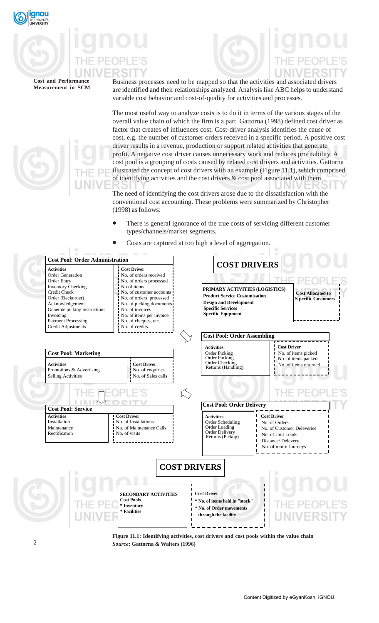

Business processes need to be mapped so that the activities and associated drivers are identified and their relationships analyzed. Analysis like ABC helps to understand variable cost behavior and cost-of-quality for activities and processes.

The most useful way to analyze costs is to do it in terms of the various stages of the overall value chain of which the firm is a part. Gattorna (1998) defined cost driver as factor that creates of influences cost. Cost-driver analysis identifies the cause of cost, e.g. the number of customer orders received in a specific period. A positive cost driver results in a revenue, production or support related activities that generate profit. A negative cost driver causes unnecessary work and reduces profitability. A cost pool is a grouping of costs caused by related cost drivers and activities. Gattorna illustrated the concept of cost drivers with an example (Figure 11.1), which comprised of identifying activities and the cost drivers  $\&$  cost pool associated with them.

The need of identifying the cost drivers arose due to the dissatisfaction with the conventional cost accounting. These problems were summarized by Christopher (1998) as follows:

- There is general ignorance of the true costs of servicing different customer types/channels/market segments.
- Costs are captured at too high a level of aggregation.



**Figure 11.1: Identifying activities, cost drivers and cost pools within the value chain** *Source***: Gattorna & Walters (1996)**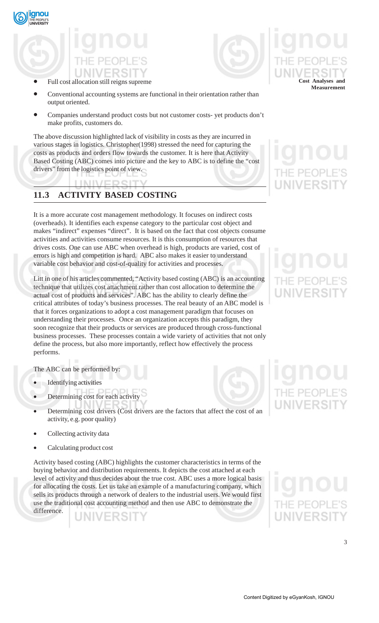

# • Full cost allocation still reigns supreme



- Conventional accounting systems are functional in their orientation rather than output oriented.
- Companies understand product costs but not customer costs- yet products don't make profits, customers do.

The above discussion highlighted lack of visibility in costs as they are incurred in various stages in logistics. Christopher(1998) stressed the need for capturing the costs as products and orders flow towards the customer. It is here that Activity Based Costing (ABC) comes into picture and the key to ABC is to define the "cost drivers" from the logistics point of view.

# **11.3 ACTIVITY BASED COSTING**

It is a more accurate cost management methodology. It focuses on indirect costs (overheads). It identifies each expense category to the particular cost object and makes "indirect" expenses "direct". It is based on the fact that cost objects consume activities and activities consume resources. It is this consumption of resources that drives costs. One can use ABC when overhead is high, products are varied, cost of errors is high and competition is hard. ABC also makes it easier to understand variable cost behavior and cost-of-quality for activities and processes.

Litt in one of his articles commented, "Activity based costing (ABC) is an accounting technique that utilizes cost attachment rather than cost allocation to determine the actual cost of products and services". ABC has the ability to clearly define the critical attributes of today's business processes. The real beauty of an ABC model is that it forces organizations to adopt a cost management paradigm that focuses on understanding their processes. Once an organization accepts this paradigm, they soon recognize that their products or services are produced through cross-functional business processes. These processes contain a wide variety of activities that not only define the process, but also more importantly, reflect how effectively the process performs.

The ABC can be performed by:

- **Identifying activities**
- Determining cost for each activity
- Determining cost drivers (Cost drivers are the factors that affect the cost of an activity, e.g. poor quality)
- Collecting activity data
- Calculating product cost

Activity based costing (ABC) highlights the customer characteristics in terms of the buying behavior and distribution requirements. It depicts the cost attached at each level of activity and thus decides about the true cost. ABC uses a more logical basis for allocating the costs. Let us take an example of a manufacturing company, which sells its products through a network of dealers to the industrial users. We would first use the traditional cost accounting method and then use ABC to demonstrate the difference.

VERSI

**Cost Analyses and Measurement**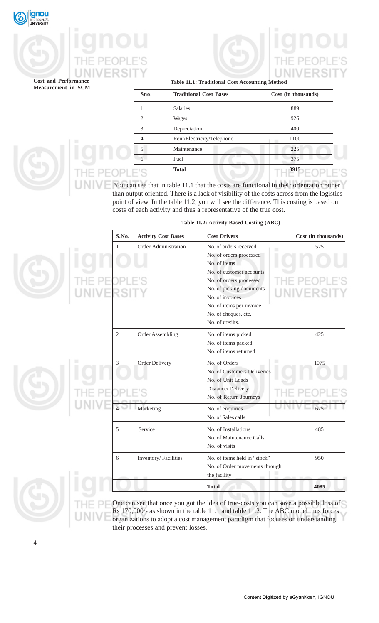



## **Table 11.1: Traditional Cost Accounting Method**

| Sno.                        | <b>Traditional Cost Bases</b> | Cost (in thousands) |
|-----------------------------|-------------------------------|---------------------|
|                             | <b>Salaries</b>               | 889                 |
| $\mathcal{D}_{\mathcal{A}}$ | <b>Wages</b>                  | 926                 |
| 3                           | Depreciation                  | 400                 |
|                             | Rent/Electricity/Telephone    | 1100                |
| 5                           | Maintenance                   | 225                 |
|                             | Fuel                          | 375                 |
|                             | <b>Total</b>                  | 3915                |

 You can see that in table 11.1 that the costs are functional in their orientation rather than output oriented. There is a lack of visibility of the costs across from the logistics point of view. In the table 11.2, you will see the difference. This costing is based on costs of each activity and thus a representative of the true cost.

| S.No.          | <b>Activity Cost Bases</b> | <b>Cost Drivers</b>                                                                                                                                                                                                                            | Cost (in thousands) |
|----------------|----------------------------|------------------------------------------------------------------------------------------------------------------------------------------------------------------------------------------------------------------------------------------------|---------------------|
| $\mathbf{1}$   | Order Administration       | No. of orders received<br>No. of orders processed<br>No. of items<br>No. of customer accounts<br>No. of orders processed<br>No. of picking documents<br>No. of invoices<br>No. of items per invoice<br>No. of cheques, etc.<br>No. of credits. | 525                 |
| $\overline{2}$ | Order Assembling           | No. of items picked<br>No. of items packed<br>No. of items returned                                                                                                                                                                            | 425                 |
| $\overline{3}$ | Order Delivery             | No. of Orders<br>No. of Customers Deliveries<br>No. of Unit Loads<br>Distance/Delivery<br>No. of Return Journeys                                                                                                                               | 1075                |
|                | Marketing                  | No. of enquiries<br>No. of Sales calls                                                                                                                                                                                                         | 625                 |
| 5              | Service                    | No. of Installations<br>No. of Maintenance Calls<br>No. of visits                                                                                                                                                                              | 485                 |
| 6              | Inventory/Facilities       | No. of items held in "stock"<br>No. of Order movements through<br>the facility                                                                                                                                                                 | 950                 |
|                |                            | <b>Total</b>                                                                                                                                                                                                                                   | 4085                |

**Table 11.2: Activity Based Costing (ABC)**

One can see that once you got the idea of true-costs you can save a possible loss of Rs 170,000/- as shown in the table 11.1 and table 11.2. The ABC model thus forces organizations to adopt a cost management paradigm that focuses on understanding their processes and prevent losses.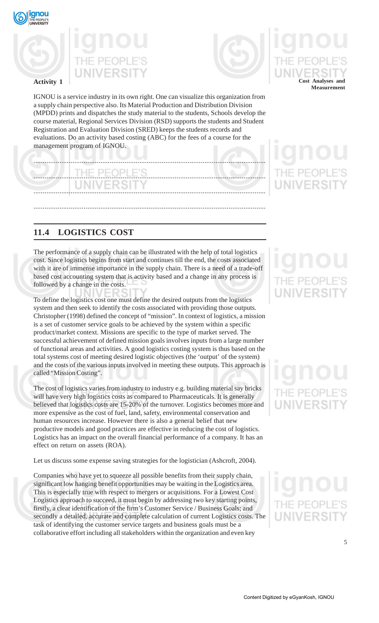





IGNOU is a service industry in its own right. One can visualize this organization from a supply chain perspective also. Its Material Production and Distribution Division (MPDD) prints and dispatches the study material to the students, Schools develop the course material, Regional Services Division (RSD) supports the students and Student Registration and Evaluation Division (SRED) keeps the students records and evaluations. Do an activity based costing (ABC) for the fees of a course for the management program of IGNOU.

# ............................................................................................................................. ............................................................................................................................. .............................................................................................................................

.............................................................................................................................

# **11.4 LOGISTICS COST**

The performance of a supply chain can be illustrated with the help of total logistics cost. Since logistics begins from start and continues till the end, the costs associated with it are of immense importance in the supply chain. There is a need of a trade-off based cost accounting system that is activity based and a change in any process is followed by a change in the costs.

To define the logistics cost one must define the desired outputs from the logistics system and then seek to identify the costs associated with providing those outputs. Christopher (1998) defined the concept of "mission". In context of logistics, a mission is a set of customer service goals to be achieved by the system within a specific product/market context. Missions are specific to the type of market served. The successful achievement of defined mission goals involves inputs from a large number of functional areas and activities. A good logistics costing system is thus based on the total systems cost of meeting desired logistic objectives (the 'output' of the system) and the costs of the various inputs involved in meeting these outputs. This approach is called "Mission Costing".

The cost of logistics varies from industry to industry e.g. building material say bricks will have very high logistics costs as compared to Pharmaceuticals. It is generally believed that logistics costs are 15-20% of the turnover. Logistics becomes more and more expensive as the cost of fuel, land, safety, environmental conservation and human resources increase. However there is also a general belief that new productive models and good practices are effective in reducing the cost of logistics. Logistics has an impact on the overall financial performance of a company. It has an effect on return on assets (ROA).

Let us discuss some expense saving strategies for the logistician (Ashcroft, 2004).

Companies who have yet to squeeze all possible benefits from their supply chain, significant low hanging benefit opportunities may be waiting in the Logistics area. This is especially true with respect to mergers or acquisitions. For a Lowest Cost Logistics approach to succeed, it must begin by addressing two key starting points, firstly, a clear identification of the firm's Customer Service / Business Goals; and secondly a detailed, accurate and complete calculation of current Logistics costs. The task of identifying the customer service targets and business goals must be a collaborative effort including all stakeholders within the organization and even key

**Cost Analyses and Measurement**

# NIVERSI

5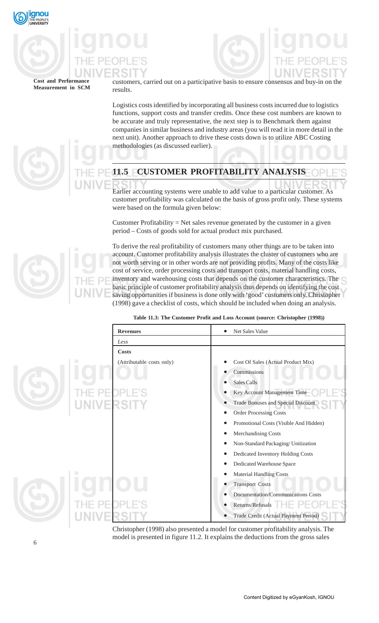



customers, carried out on a participative basis to ensure consensus and buy-in on the results.

Logistics costs identified by incorporating all business costs incurred due to logistics functions, support costs and transfer credits. Once these cost numbers are known to be accurate and truly representative, the next step is to Benchmark them against companies in similar business and industry areas (you will read it in more detail in the next unit). Another approach to drive these costs down is to utilize ABC Costing methodologies (as discussed earlier).

# **11.5 CUSTOMER PROFITABILITY ANALYSIS**

Earlier accounting systems were unable to add value to a particular customer. As customer profitability was calculated on the basis of gross profit only. These systems were based on the formula given below:

Customer Profitability  $=$  Net sales revenue generated by the customer in a given period – Costs of goods sold for actual product mix purchased.

To derive the real profitability of customers many other things are to be taken into account. Customer profitability analysis illustrates the cluster of customers who are not worth serving or in other words are not providing profits. Many of the costs like cost of service, order processing costs and transport costs, material handling costs, inventory and warehousing costs that depends on the customer characteristics. The basic principle of customer profitability analysis thus depends on identifying the cost saving opportunities if business is done only with 'good' customers only. Christopher (1998) gave a checklist of costs, which should be included when doing an analysis.

| Table 11.3: The Customer Profit and Loss Account (source: Christopher (1998)) |  |
|-------------------------------------------------------------------------------|--|
|-------------------------------------------------------------------------------|--|

| <b>Revenues</b>           | <b>Net Sales Value</b><br>$\bullet$                    |
|---------------------------|--------------------------------------------------------|
| Less                      |                                                        |
| Costs                     |                                                        |
| (Attributable costs only) | Cost Of Sales (Actual Product Mix)<br>$\bullet$        |
|                           | Commissions<br>$\bullet$                               |
|                           | Sales Calls<br>$\bullet$                               |
|                           | Key Account Management Time<br>$\bullet$               |
| VIVERSII                  | <b>Trade Bonuses and Special Discount</b><br>$\bullet$ |
|                           | <b>Order Processing Costs</b><br>$\bullet$             |
|                           | Promotional Costs (Visible And Hidden)<br>$\bullet$    |
|                           | Merchandising Costs<br>$\bullet$                       |
|                           | Non-Standard Packaging/ Unitization<br>$\bullet$       |
|                           | Dedicated Inventory Holding Costs<br>$\bullet$         |
|                           | Dedicated Warehouse Space<br>$\bullet$                 |
|                           | <b>Material Handling Costs</b><br>$\bullet$            |
|                           | <b>Transport Costs</b><br>$\bullet$                    |
|                           | Documentation/Communications Costs<br>$\bullet$        |
|                           | Returns/Refusals<br>$\bullet$                          |
|                           | Trade Credit (Actual Payment Period)                   |

Christopher (1998) also presented a model for customer profitability analysis. The model is presented in figure 11.2. It explains the deductions from the gross sales

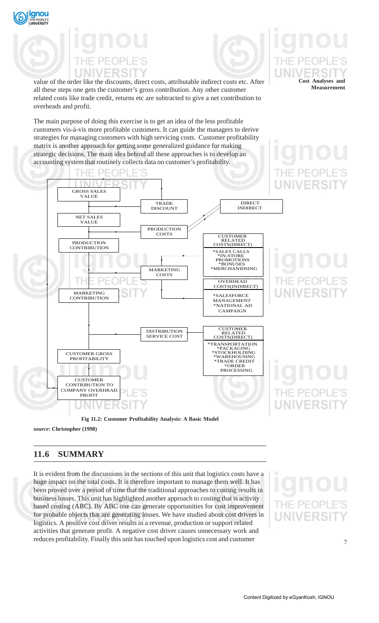



**Cost Analyses and Measurement**

PEOP

value of the order like the discounts, direct costs, attributable indirect costs etc. After all these steps one gets the customer's gross contribution. Any other customer related costs like trade credit, returns etc are subtracted to give a net contribution to overheads and profit.

The main purpose of doing this exercise is to get an idea of the less profitable customers vis-à-vis more profitable customers. It can guide the managers to derive strategies for managing customers with high servicing costs. Customer profitability matrix is another approach for getting some generalized guidance for making strategic decisions. The main idea behind all these approaches is to develop an accounting system that routinely collects data on customer's profitability.



# **Fig 11.2: Customer Profitability Analysis: A Basic Model**

*source***: Christopher (1998)**

# **11.6 SUMMARY**

It is evident from the discussions in the sections of this unit that logistics costs have a huge impact on the total costs. It is therefore important to manage them well. It has been proved over a period of time that the traditional approaches to costing results in business losses. This unit has highlighted another approach to costing that is activity based costing (ABC). By ABC one can generate opportunities for cost improvement for probable objects that are generating losses. We have studied about cost drivers in logistics. A positive cost driver results in a revenue, production or support related activities that generate profit. A negative cost driver causes unnecessary work and reduces profitability. Finally this unit has touched upon logistics cost and customer



PEOPI

7